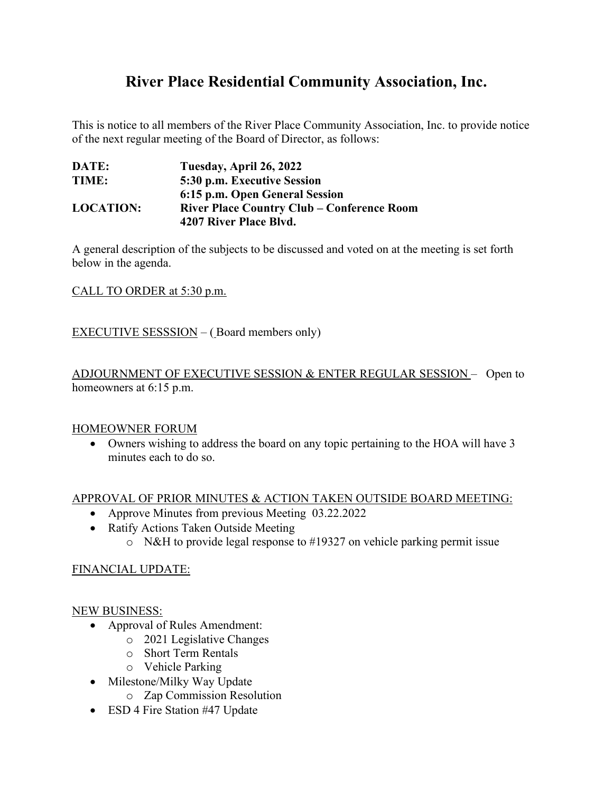# **River Place Residential Community Association, Inc.**

This is notice to all members of the River Place Community Association, Inc. to provide notice of the next regular meeting of the Board of Director, as follows:

| DATE:            | Tuesday, April 26, 2022                           |
|------------------|---------------------------------------------------|
| TIME:            | 5:30 p.m. Executive Session                       |
|                  | 6:15 p.m. Open General Session                    |
| <b>LOCATION:</b> | <b>River Place Country Club – Conference Room</b> |
|                  | 4207 River Place Blvd.                            |

A general description of the subjects to be discussed and voted on at the meeting is set forth below in the agenda.

CALL TO ORDER at 5:30 p.m.

EXECUTIVE SESSSION – ( Board members only)

ADJOURNMENT OF EXECUTIVE SESSION & ENTER REGULAR SESSION – Open to homeowners at 6:15 p.m.

#### HOMEOWNER FORUM

• Owners wishing to address the board on any topic pertaining to the HOA will have 3 minutes each to do so.

#### APPROVAL OF PRIOR MINUTES & ACTION TAKEN OUTSIDE BOARD MEETING:

- Approve Minutes from previous Meeting 03.22.2022
- Ratify Actions Taken Outside Meeting
	- o N&H to provide legal response to #19327 on vehicle parking permit issue

#### FINANCIAL UPDATE:

#### NEW BUSINESS:

- Approval of Rules Amendment:
	- o 2021 Legislative Changes
	- o Short Term Rentals
	- o Vehicle Parking
- Milestone/Milky Way Update
	- o Zap Commission Resolution
- ESD 4 Fire Station #47 Update